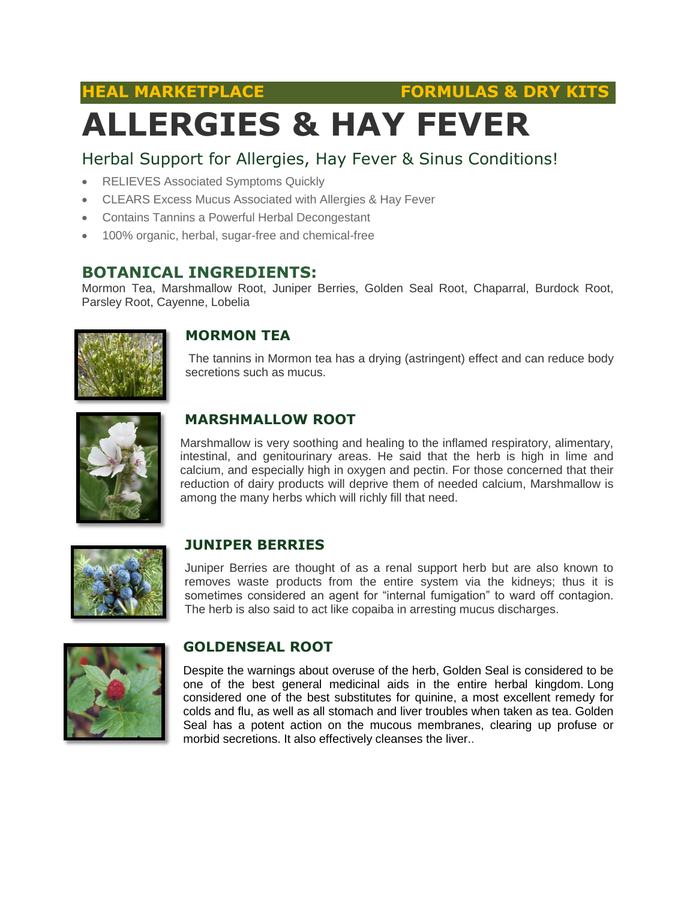**HEAL MARKETPLACE FORMULAS & DRY KITS**

# **ALLERGIES & HAY FEVER**

### Herbal Support for Allergies, Hay Fever & Sinus Conditions!

- RELIEVES Associated Symptoms Quickly
- CLEARS Excess Mucus Associated with Allergies & Hay Fever
- Contains Tannins a Powerful Herbal Decongestant
- 100% organic, herbal, sugar-free and chemical-free

#### **BOTANICAL INGREDIENTS:**

Mormon Tea, Marshmallow Root, Juniper Berries, Golden Seal Root, Chaparral, Burdock Root, Parsley Root, Cayenne, Lobelia



#### **MORMON TEA**

The tannins in Mormon tea has a drying (astringent) effect and can reduce body secretions such as mucus.



#### **MARSHMALLOW ROOT**

Marshmallow is very soothing and healing to the inflamed respiratory, alimentary, intestinal, and genitourinary areas. He said that the herb is high in lime and calcium, and especially high in oxygen and pectin. For those concerned that their reduction of dairy products will deprive them of needed calcium, Marshmallow is among the many herbs which will richly fill that need.



#### **JUNIPER BERRIES**

Juniper Berries are thought of as a renal support herb but are also known to removes waste products from the entire system via the kidneys; thus it is sometimes considered an agent for "internal fumigation" to ward off contagion. The herb is also said to act like copaiba in arresting mucus discharges.



#### **GOLDENSEAL ROOT**

Despite the warnings about overuse of the herb, Golden Seal is considered to be one of the best general medicinal aids in the entire herbal kingdom. Long considered one of the best substitutes for quinine, a most excellent remedy for colds and flu, as well as all stomach and liver troubles when taken as tea. Golden Seal has a potent action on the mucous membranes, clearing up profuse or morbid secretions. It also effectively cleanses the liver..